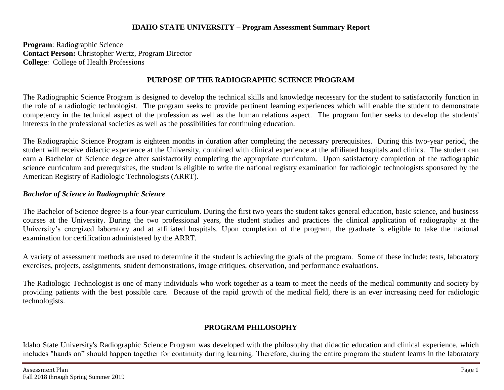#### **IDAHO STATE UNIVERSITY – Program Assessment Summary Report**

**Program**: Radiographic Science **Contact Person:** Christopher Wertz, Program Director **College**: College of Health Professions

## **PURPOSE OF THE RADIOGRAPHIC SCIENCE PROGRAM**

The Radiographic Science Program is designed to develop the technical skills and knowledge necessary for the student to satisfactorily function in the role of a radiologic technologist. The program seeks to provide pertinent learning experiences which will enable the student to demonstrate competency in the technical aspect of the profession as well as the human relations aspect. The program further seeks to develop the students' interests in the professional societies as well as the possibilities for continuing education.

The Radiographic Science Program is eighteen months in duration after completing the necessary prerequisites. During this two-year period, the student will receive didactic experience at the University, combined with clinical experience at the affiliated hospitals and clinics. The student can earn a Bachelor of Science degree after satisfactorily completing the appropriate curriculum. Upon satisfactory completion of the radiographic science curriculum and prerequisites, the student is eligible to write the national registry examination for radiologic technologists sponsored by the American Registry of Radiologic Technologists (ARRT).

### *Bachelor of Science in Radiographic Science*

The Bachelor of Science degree is a four-year curriculum. During the first two years the student takes general education, basic science, and business courses at the University. During the two professional years, the student studies and practices the clinical application of radiography at the University's energized laboratory and at affiliated hospitals. Upon completion of the program, the graduate is eligible to take the national examination for certification administered by the ARRT.

A variety of assessment methods are used to determine if the student is achieving the goals of the program. Some of these include: tests, laboratory exercises, projects, assignments, student demonstrations, image critiques, observation, and performance evaluations.

The Radiologic Technologist is one of many individuals who work together as a team to meet the needs of the medical community and society by providing patients with the best possible care. Because of the rapid growth of the medical field, there is an ever increasing need for radiologic technologists.

## **PROGRAM PHILOSOPHY**

Idaho State University's Radiographic Science Program was developed with the philosophy that didactic education and clinical experience, which includes "hands on" should happen together for continuity during learning. Therefore, during the entire program the student learns in the laboratory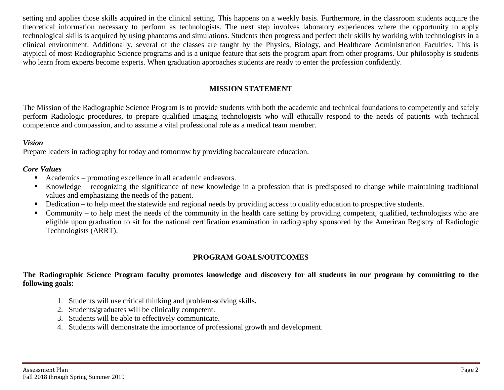setting and applies those skills acquired in the clinical setting. This happens on a weekly basis. Furthermore, in the classroom students acquire the theoretical information necessary to perform as technologists. The next step involves laboratory experiences where the opportunity to apply technological skills is acquired by using phantoms and simulations. Students then progress and perfect their skills by working with technologists in a clinical environment. Additionally, several of the classes are taught by the Physics, Biology, and Healthcare Administration Faculties. This is atypical of most Radiographic Science programs and is a unique feature that sets the program apart from other programs. Our philosophy is students who learn from experts become experts. When graduation approaches students are ready to enter the profession confidently.

## **MISSION STATEMENT**

The Mission of the Radiographic Science Program is to provide students with both the academic and technical foundations to competently and safely perform Radiologic procedures, to prepare qualified imaging technologists who will ethically respond to the needs of patients with technical competence and compassion, and to assume a vital professional role as a medical team member.

#### *Vision*

Prepare leaders in radiography for today and tomorrow by providing baccalaureate education.

#### *Core Values*

- Academics promoting excellence in all academic endeavors.
- Knowledge recognizing the significance of new knowledge in a profession that is predisposed to change while maintaining traditional values and emphasizing the needs of the patient.
- Dedication to help meet the statewide and regional needs by providing access to quality education to prospective students.
- Community to help meet the needs of the community in the health care setting by providing competent, qualified, technologists who are eligible upon graduation to sit for the national certification examination in radiography sponsored by the American Registry of Radiologic Technologists (ARRT).

## **PROGRAM GOALS/OUTCOMES**

#### **The Radiographic Science Program faculty promotes knowledge and discovery for all students in our program by committing to the following goals:**

- 1. Students will use critical thinking and problem-solving skills**.**
- 2. Students/graduates will be clinically competent.
- 3. Students will be able to effectively communicate.
- 4. Students will demonstrate the importance of professional growth and development.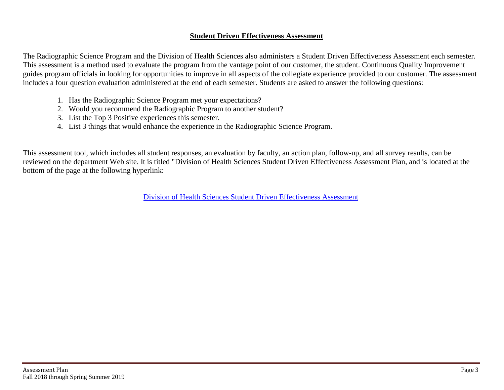#### **Student Driven Effectiveness Assessment**

The Radiographic Science Program and the Division of Health Sciences also administers a Student Driven Effectiveness Assessment each semester. This assessment is a method used to evaluate the program from the vantage point of our customer, the student. Continuous Quality Improvement guides program officials in looking for opportunities to improve in all aspects of the collegiate experience provided to our customer. The assessment includes a four question evaluation administered at the end of each semester. Students are asked to answer the following questions:

- 1. Has the Radiographic Science Program met your expectations?
- 2. Would you recommend the Radiographic Program to another student?
- 3. List the Top 3 Positive experiences this semester.
- 4. List 3 things that would enhance the experience in the Radiographic Science Program.

This assessment tool, which includes all student responses, an evaluation by faculty, an action plan, follow-up, and all survey results, can be reviewed on the department Web site. It is titled "Division of Health Sciences Student Driven Effectiveness Assessment Plan, and is located at the bottom of the page at the following hyperlink:

[Division of Health Sciences Student Driven Effectiveness](http://www.isu.edu/radsci/admindata.shtml) Assessment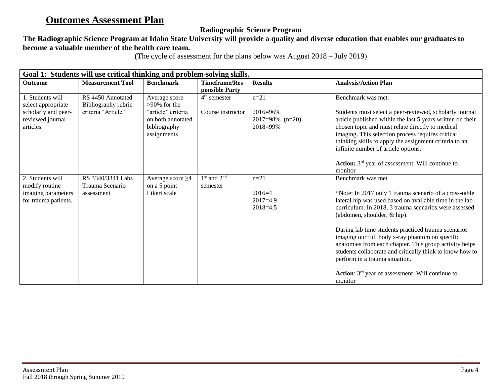# **Outcomes Assessment Plan**

## **Radiographic Science Program**

## **The Radiographic Science Program at Idaho State University will provide a quality and diverse education that enables our graduates to become a valuable member of the health care team.**

(The cycle of assessment for the plans below was August 2018 – July 2019)

| Goal 1: Students will use critical thinking and problem-solving skills.                        |                                                                |                                                                                                            |                                        |                                                        |                                                                                                                                                                                                                                                                                                                                                                                                                                                                                                                                                                             |  |  |
|------------------------------------------------------------------------------------------------|----------------------------------------------------------------|------------------------------------------------------------------------------------------------------------|----------------------------------------|--------------------------------------------------------|-----------------------------------------------------------------------------------------------------------------------------------------------------------------------------------------------------------------------------------------------------------------------------------------------------------------------------------------------------------------------------------------------------------------------------------------------------------------------------------------------------------------------------------------------------------------------------|--|--|
| <b>Outcome</b>                                                                                 | <b>Measurement Tool</b>                                        | <b>Benchmark</b>                                                                                           | <b>Timeframe/Res</b><br>ponsible Party | <b>Results</b>                                         | <b>Analysis/Action Plan</b>                                                                                                                                                                                                                                                                                                                                                                                                                                                                                                                                                 |  |  |
| 1. Students will<br>select appropriate<br>scholarly and peer-<br>reviewed journal<br>articles. | RS 4450 Annotated<br>Bibliography rubric<br>criteria "Article" | Average score<br>$>90\%$ for the<br>"article" criteria<br>on both annotated<br>bibliography<br>assignments | $4th$ semester<br>Course instructor    | $n = 21$<br>2016=96%<br>$2017=98\%$ (n=20)<br>2018=99% | Benchmark was met.<br>Students must select a peer-reviewed, scholarly journal<br>article published within the last 5 years written on their<br>chosen topic and must relate directly to medical<br>imaging. This selection process requires critical<br>thinking skills to apply the assignment criteria to an<br>infinite number of article options.<br>Action: 3 <sup>rd</sup> year of assessment. Will continue to<br>monitor                                                                                                                                            |  |  |
| 2. Students will<br>modify routine<br>imaging parameters<br>for trauma patients.               | RS 3340/3341 Labs<br>Trauma Scenario<br>assessment             | Average score $\geq$ 4<br>on a 5 point<br>Likert scale                                                     | $1st$ and $2nd$<br>semester            | $n = 21$<br>$2016=4$<br>$2017=4.9$<br>$2018 = 4.5$     | Benchmark was met<br>*Note: In 2017 only 1 trauma scenario of a cross-table<br>lateral hip was used based on available time in the lab<br>curriculum. In 2018, 3 trauma scenarios were assessed<br>(abdomen, shoulder, & hip).<br>During lab time students practiced trauma scenarios<br>imaging our full body x-ray phantom on specific<br>anatomies from each chapter. This group activity helps<br>students collaborate and critically think to know how to<br>perform in a trauma situation.<br>Action: 3 <sup>rd</sup> year of assessment. Will continue to<br>monitor |  |  |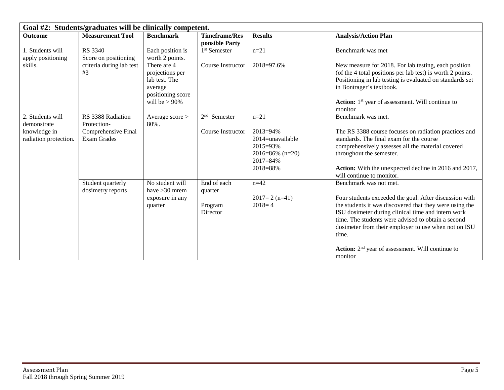| Goal #2: Students/graduates will be clinically competent.                |                                                                               |                                                                                                                                            |                                               |                                                                                                                |                                                                                                                                                                                                                                                                                                                                                                                           |  |  |
|--------------------------------------------------------------------------|-------------------------------------------------------------------------------|--------------------------------------------------------------------------------------------------------------------------------------------|-----------------------------------------------|----------------------------------------------------------------------------------------------------------------|-------------------------------------------------------------------------------------------------------------------------------------------------------------------------------------------------------------------------------------------------------------------------------------------------------------------------------------------------------------------------------------------|--|--|
| <b>Outcome</b>                                                           | <b>Measurement Tool</b>                                                       | <b>Benchmark</b>                                                                                                                           | <b>Timeframe/Res</b><br>ponsible Party        | <b>Results</b>                                                                                                 | <b>Analysis/Action Plan</b>                                                                                                                                                                                                                                                                                                                                                               |  |  |
| 1. Students will<br>apply positioning<br>skills.                         | RS 3340<br>Score on positioning<br>criteria during lab test<br>#3             | Each position is<br>worth 2 points.<br>There are 4<br>projections per<br>lab test. The<br>average<br>positioning score<br>will be $> 90\%$ | 1 <sup>st</sup> Semester<br>Course Instructor | $n = 21$<br>2018=97.6%                                                                                         | Benchmark was met<br>New measure for 2018. For lab testing, each position<br>(of the 4 total positions per lab test) is worth 2 points.<br>Positioning in lab testing is evaluated on standards set<br>in Bontrager's textbook.<br><b>Action:</b> 1 <sup>st</sup> year of assessment. Will continue to<br>monitor                                                                         |  |  |
| 2. Students will<br>demonstrate<br>knowledge in<br>radiation protection. | RS 3388 Radiation<br>Protection-<br>Comprehensive Final<br><b>Exam Grades</b> | Average score ><br>80%.                                                                                                                    | $2nd$ Semester<br>Course Instructor           | $n = 21$<br>$2013 = 94\%$<br>2014=unavailable<br>2015=93%<br>$2016 = 86\%$ (n=20)<br>$2017 = 84\%$<br>2018=88% | Benchmark was met.<br>The RS 3388 course focuses on radiation practices and<br>standards. The final exam for the course<br>comprehensively assesses all the material covered<br>throughout the semester.<br>Action: With the unexpected decline in 2016 and 2017,<br>will continue to monitor.                                                                                            |  |  |
|                                                                          | Student quarterly<br>dosimetry reports                                        | No student will<br>have $>30$ mrem<br>exposure in any<br>quarter                                                                           | End of each<br>quarter<br>Program<br>Director | $n=42$<br>$2017=2$ (n=41)<br>$2018=4$                                                                          | Benchmark was not met.<br>Four students exceeded the goal. After discussion with<br>the students it was discovered that they were using the<br>ISU dosimeter during clinical time and intern work<br>time. The students were advised to obtain a second<br>dosimeter from their employer to use when not on ISU<br>time.<br>Action: $2nd$ year of assessment. Will continue to<br>monitor |  |  |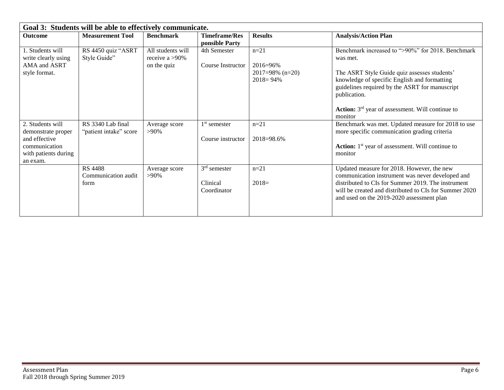| Goal 3: Students will be able to effectively communicate.                                                    |                                               |                                                    |                                           |                                                           |                                                                                                                                                                                                                                                                                                            |  |  |
|--------------------------------------------------------------------------------------------------------------|-----------------------------------------------|----------------------------------------------------|-------------------------------------------|-----------------------------------------------------------|------------------------------------------------------------------------------------------------------------------------------------------------------------------------------------------------------------------------------------------------------------------------------------------------------------|--|--|
| Outcome                                                                                                      | <b>Measurement Tool</b>                       | <b>Benchmark</b>                                   | <b>Timeframe/Res</b><br>ponsible Party    | <b>Results</b>                                            | <b>Analysis/Action Plan</b>                                                                                                                                                                                                                                                                                |  |  |
| 1. Students will<br>write clearly using<br>AMA and ASRT<br>style format.                                     | RS 4450 quiz "ASRT<br>Style Guide"            | All students will<br>receive a >90%<br>on the quiz | 4th Semester<br>Course Instructor         | $n=21$<br>2016=96%<br>$2017=98\%$ (n=20)<br>$2018 = 94\%$ | Benchmark increased to ">90%" for 2018. Benchmark<br>was met.<br>The ASRT Style Guide quiz assesses students'<br>knowledge of specific English and formatting<br>guidelines required by the ASRT for manuscript<br>publication.<br>Action: 3 <sup>rd</sup> year of assessment. Will continue to<br>monitor |  |  |
| 2. Students will<br>demonstrate proper<br>and effective<br>communication<br>with patients during<br>an exam. | RS 3340 Lab final<br>"patient intake" score   | Average score<br>$>90\%$                           | $1st$ semester<br>Course instructor       | $n=21$<br>2018=98.6%                                      | Benchmark was met. Updated measure for 2018 to use<br>more specific communication grading criteria<br>Action: 1 <sup>st</sup> year of assessment. Will continue to<br>monitor                                                                                                                              |  |  |
|                                                                                                              | <b>RS 4488</b><br>Communication audit<br>form | Average score<br>$>90\%$                           | $3rd$ semester<br>Clinical<br>Coordinator | $n = 21$<br>$2018=$                                       | Updated measure for 2018. However, the new<br>communication instrument was never developed and<br>distributed to CIs for Summer 2019. The instrument<br>will be created and distributed to CIs for Summer 2020<br>and used on the 2019-2020 assessment plan                                                |  |  |

E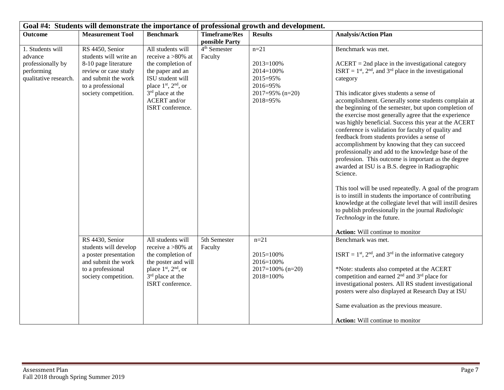| Goal #4: Students will demonstrate the importance of professional growth and development. |                                                                                                                                                               |                                                                                                                                                                                                                  |                                        |                                                                                                  |                                                                                                                                                                                                                                                                                                                                                                                                                                                                                                                                                                                                                                                                                                                                                                                                                                                                                                                                                                                                                                                                                          |  |  |
|-------------------------------------------------------------------------------------------|---------------------------------------------------------------------------------------------------------------------------------------------------------------|------------------------------------------------------------------------------------------------------------------------------------------------------------------------------------------------------------------|----------------------------------------|--------------------------------------------------------------------------------------------------|------------------------------------------------------------------------------------------------------------------------------------------------------------------------------------------------------------------------------------------------------------------------------------------------------------------------------------------------------------------------------------------------------------------------------------------------------------------------------------------------------------------------------------------------------------------------------------------------------------------------------------------------------------------------------------------------------------------------------------------------------------------------------------------------------------------------------------------------------------------------------------------------------------------------------------------------------------------------------------------------------------------------------------------------------------------------------------------|--|--|
| <b>Outcome</b>                                                                            | <b>Measurement Tool</b>                                                                                                                                       | <b>Benchmark</b>                                                                                                                                                                                                 | <b>Timeframe/Res</b><br>ponsible Party | <b>Results</b>                                                                                   | <b>Analysis/Action Plan</b>                                                                                                                                                                                                                                                                                                                                                                                                                                                                                                                                                                                                                                                                                                                                                                                                                                                                                                                                                                                                                                                              |  |  |
| 1. Students will<br>advance<br>professionally by<br>performing<br>qualitative research.   | RS 4450, Senior<br>students will write an<br>8-10 page literature<br>review or case study<br>and submit the work<br>to a professional<br>society competition. | All students will<br>receive a $>80\%$ at<br>the completion of<br>the paper and an<br>ISU student will<br>place 1 <sup>st</sup> , 2 <sup>nd</sup> , or<br>$3rd$ place at the<br>ACERT and/or<br>ISRT conference. | 4 <sup>th</sup> Semester<br>Faculty    | $n = 21$<br>2013=100%<br>$2014 = 100%$<br>2015=95%<br>2016=95%<br>$2017=95\%$ (n=20)<br>2018=95% | Benchmark was met.<br>$ACERT = 2nd$ place in the investigational category<br>ISRT = $1st$ , $2nd$ , and $3rd$ place in the investigational<br>category<br>This indicator gives students a sense of<br>accomplishment. Generally some students complain at<br>the beginning of the semester, but upon completion of<br>the exercise most generally agree that the experience<br>was highly beneficial. Success this year at the ACERT<br>conference is validation for faculty of quality and<br>feedback from students provides a sense of<br>accomplishment by knowing that they can succeed<br>professionally and add to the knowledge base of the<br>profession. This outcome is important as the degree<br>awarded at ISU is a B.S. degree in Radiographic<br>Science.<br>This tool will be used repeatedly. A goal of the program<br>is to instill in students the importance of contributing<br>knowledge at the collegiate level that will instill desires<br>to publish professionally in the journal Radiologic<br>Technology in the future.<br>Action: Will continue to monitor |  |  |
|                                                                                           | RS 4430, Senior<br>students will develop<br>a poster presentation<br>and submit the work<br>to a professional<br>society competition.                         | All students will<br>receive a >80% at<br>the completion of<br>the poster and will<br>place $1st$ , $2nd$ , or<br>3 <sup>rd</sup> place at the<br>ISRT conference.                                               | 5th Semester<br>Faculty                | $n=21$<br>2015=100%<br>2016=100%<br>$2017=100\%$ (n=20)<br>2018=100%                             | Benchmark was met.<br>ISRT = $1st$ , $2nd$ , and $3rd$ in the informative category<br>*Note: students also competed at the ACERT<br>competition and earned 2 <sup>nd</sup> and 3 <sup>rd</sup> place for<br>investigational posters. All RS student investigational<br>posters were also displayed at Research Day at ISU<br>Same evaluation as the previous measure.<br><b>Action:</b> Will continue to monitor                                                                                                                                                                                                                                                                                                                                                                                                                                                                                                                                                                                                                                                                         |  |  |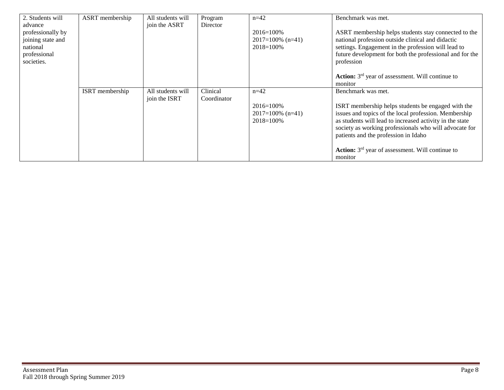| 2. Students will  | ASRT membership | All students will | Program     | $n=42$              | Benchmark was met.                                        |
|-------------------|-----------------|-------------------|-------------|---------------------|-----------------------------------------------------------|
| advance           |                 | join the ASRT     | Director    |                     |                                                           |
| professionally by |                 |                   |             | $2016 = 100\%$      | ASRT membership helps students stay connected to the      |
| joining state and |                 |                   |             | $2017=100\%$ (n=41) | national profession outside clinical and didactic         |
| national          |                 |                   |             | $2018 = 100\%$      | settings. Engagement in the profession will lead to       |
| professional      |                 |                   |             |                     | future development for both the professional and for the  |
| societies.        |                 |                   |             |                     | profession                                                |
|                   |                 |                   |             |                     |                                                           |
|                   |                 |                   |             |                     | <b>Action:</b> $3rd$ year of assessment. Will continue to |
|                   |                 |                   |             |                     | monitor                                                   |
|                   | ISRT membership | All students will | Clinical    | $n=42$              | Benchmark was met.                                        |
|                   |                 | join the ISRT     | Coordinator |                     |                                                           |
|                   |                 |                   |             | $2016 = 100\%$      | ISRT membership helps students be engaged with the        |
|                   |                 |                   |             | $2017=100\%$ (n=41) | issues and topics of the local profession. Membership     |
|                   |                 |                   |             | $2018 = 100\%$      | as students will lead to increased activity in the state  |
|                   |                 |                   |             |                     | society as working professionals who will advocate for    |
|                   |                 |                   |             |                     | patients and the profession in Idaho                      |
|                   |                 |                   |             |                     |                                                           |
|                   |                 |                   |             |                     | <b>Action:</b> $3rd$ year of assessment. Will continue to |
|                   |                 |                   |             |                     | monitor                                                   |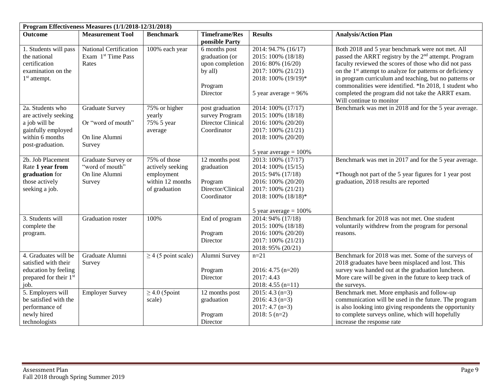|                                                                                                                        | Program Effectiveness Measures (1/1/2018-12/31/2018)                     |                                                                                     |                                                                                      |                                                                                                                                                              |                                                                                                                                                                                                                                                                                                                                                                                                                                |  |  |  |
|------------------------------------------------------------------------------------------------------------------------|--------------------------------------------------------------------------|-------------------------------------------------------------------------------------|--------------------------------------------------------------------------------------|--------------------------------------------------------------------------------------------------------------------------------------------------------------|--------------------------------------------------------------------------------------------------------------------------------------------------------------------------------------------------------------------------------------------------------------------------------------------------------------------------------------------------------------------------------------------------------------------------------|--|--|--|
| <b>Outcome</b>                                                                                                         | <b>Measurement Tool</b>                                                  | <b>Benchmark</b>                                                                    | <b>Timeframe/Res</b><br>ponsible Party                                               | <b>Results</b>                                                                                                                                               | <b>Analysis/Action Plan</b>                                                                                                                                                                                                                                                                                                                                                                                                    |  |  |  |
| 1. Students will pass<br>the national<br>certification<br>examination on the<br>$1st$ attempt.                         | National Certification<br>Exam 1 <sup>st</sup> Time Pass<br>Rates        | 100% each year                                                                      | 6 months post<br>graduation (or<br>upon completion<br>by all)<br>Program<br>Director | 2014: 94.7% (16/17)<br>2015: 100% (18/18)<br>2016: 80% (16/20)<br>2017: 100% (21/21)<br>2018: 100% (19/19)*<br>5 year average $= 96\%$                       | Both 2018 and 5 year benchmark were not met. All<br>passed the ARRT registry by the 2 <sup>nd</sup> attempt. Program<br>faculty reviewed the scores of those who did not pass<br>on the 1 <sup>st</sup> attempt to analyze for patterns or deficiency<br>in program curriculum and teaching, but no patterns or<br>commonalities were identified. *In 2018, 1 student who<br>completed the program did not take the ARRT exam. |  |  |  |
| 2a. Students who<br>are actively seeking<br>a job will be<br>gainfully employed<br>within 6 months<br>post-graduation. | <b>Graduate Survey</b><br>Or "word of mouth"<br>On line Alumni<br>Survey | 75% or higher<br>yearly<br>75% 5 year<br>average                                    | post graduation<br>survey Program<br>Director Clinical<br>Coordinator                | 2014: 100% (17/17)<br>2015: 100% (18/18)<br>2016: 100% (20/20)<br>2017: 100% (21/21)<br>2018: 100% (20/20)<br>5 year average $= 100\%$                       | Will continue to monitor<br>Benchmark was met in 2018 and for the 5 year average.                                                                                                                                                                                                                                                                                                                                              |  |  |  |
| 2b. Job Placement<br>Rate 1 year from<br>graduation for<br>those actively<br>seeking a job.                            | Graduate Survey or<br>"word of mouth"<br>On line Alumni<br>Survey        | 75% of those<br>actively seeking<br>employment<br>within 12 months<br>of graduation | 12 months post<br>graduation<br>Program<br>Director/Clinical<br>Coordinator          | 2013: 100% (17/17)<br>2014: 100% (15/15)<br>2015: 94% (17/18)<br>2016: 100% (20/20)<br>2017: 100% (21/21)<br>2018: 100% (18/18)*<br>5 year average $= 100\%$ | Benchmark was met in 2017 and for the 5 year average.<br>*Though not part of the 5 year figures for 1 year post<br>graduation, 2018 results are reported                                                                                                                                                                                                                                                                       |  |  |  |
| 3. Students will<br>complete the<br>program.                                                                           | Graduation roster                                                        | 100%                                                                                | End of program<br>Program<br>Director                                                | 2014: 94% (17/18)<br>2015: 100% (18/18)<br>2016: 100% (20/20)<br>2017: 100% (21/21)<br>2018: 95% (20/21)                                                     | Benchmark for 2018 was not met. One student<br>voluntarily withdrew from the program for personal<br>reasons.                                                                                                                                                                                                                                                                                                                  |  |  |  |
| 4. Graduates will be<br>satisfied with their<br>education by feeling<br>prepared for their 1st<br>job.                 | Graduate Alumni<br>Survey                                                | $\geq$ 4 (5 point scale)                                                            | Alumni Survey<br>Program<br>Director                                                 | $n = 21$<br>$2016: 4.75$ (n=20)<br>2017: 4.43<br>$2018: 4.55 (n=11)$                                                                                         | Benchmark for 2018 was met. Some of the surveys of<br>2018 graduates have been misplaced and lost. This<br>survey was handed out at the graduation luncheon.<br>More care will be given in the future to keep track of<br>the surveys.                                                                                                                                                                                         |  |  |  |
| 5. Employers will<br>be satisfied with the<br>performance of<br>newly hired<br>technologists                           | <b>Employer Survey</b>                                                   | $\geq$ 4.0 (5 point<br>scale)                                                       | 12 months post<br>graduation<br>Program<br>Director                                  | $2015: 4.3(n=3)$<br>$2016: 4.3(n=3)$<br>$2017:4.7(n=3)$<br>$2018:5(n=2)$                                                                                     | Benchmark met. More emphasis and follow-up<br>communication will be used in the future. The program<br>is also looking into giving respondents the opportunity<br>to complete surveys online, which will hopefully<br>increase the response rate                                                                                                                                                                               |  |  |  |